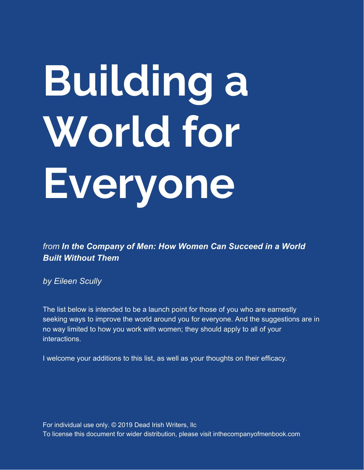# **Building a World for Everyone**

*from In the Company of Men: How Women Can Succeed in a World Built Without Them*

*by Eileen Scully*

The list below is intended to be a launch point for those of you who are earnestly seeking ways to improve the world around you for everyone. And the suggestions are in no way limited to how you work with women; they should apply to all of your interactions.

I welcome your additions to this list, as well as your thoughts on their efficacy.

For individual use only. © 2019 Dead Irish Writers, llc To license this document for wider distribution, please visit inthecompanyofmenbook.com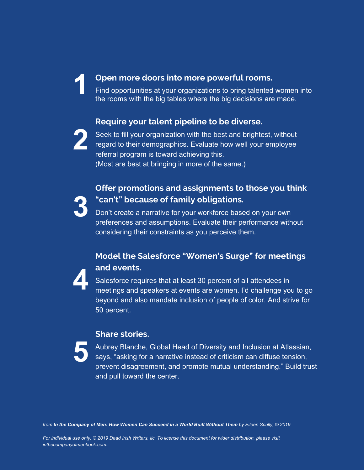#### **Open more doors into more powerful rooms.**

Find opportunities at your organizations to bring talented women into the rooms with the big tables where the big decisions are made.

### **Require your talent pipeline to be diverse.**



Seek to fill your organization with the best and brightest, without regard to their demographics. Evaluate how well your employee referral program is toward achieving this. (Most are best at bringing in more of the same.)

## **Offer promotions and assignments to those you think "can't" because of family obligations.**

**3** Don't create a narrative for your workforce based on your own preferences and assumptions. Evaluate their performance without considering their constraints as you perceive them.

## **Model the Salesforce "Women's Surge" for meetings and events.**



Salesforce requires that at least 30 percent of all attendees in meetings and speakers at events are women. I'd challenge you to go beyond and also mandate inclusion of people of color. And strive for 50 percent.

#### **Share stories.**

**5** Aubrey Blanche, Global Head of Diversity and Inclusion at Atlassian, says, "asking for a narrative instead of criticism can diffuse tension, prevent disagreement, and promote mutual understanding." Build trust and pull toward the center.

from In the Company of Men: How Women Can Succeed in a World Built Without Them by Eileen Scully, @ 2019

For individual use only. @ 2019 Dead Irish Writers, IIc. To license this document for wider distribution, please visit *inthecompanyofmenbook.com.*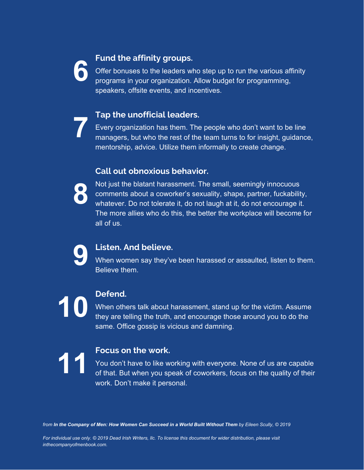

#### **Fund the affinity groups.**

Offer bonuses to the leaders who step up to run the various affinity programs in your organization. Allow budget for programming, speakers, offsite events, and incentives.

#### **Tap the unofficial leaders.**

Every organization has them. The people who don't want to be line managers, but who the rest of the team turns to for insight, guidance, mentorship, advice. Utilize them informally to create change.

#### **Call out obnoxious behavior.**



Not just the blatant harassment. The small, seemingly innocuous comments about a coworker's sexuality, shape, partner, fuckability, whatever. Do not tolerate it, do not laugh at it, do not encourage it. The more allies who do this, the better the workplace will become for all of us.



### **Listen. And believe.**

When women say they've been harassed or assaulted, listen to them. Believe them.



When others talk about harassment, stand up for the victim. Assume they are telling the truth, and encourage those around you to do the same. Office gossip is vicious and damning.



**11 <b>Focus on the work.**<br>You don't have to like w<br>of that. But when you sp You don't have to like working with everyone. None of us are capable of that. But when you speak of coworkers, focus on the quality of their work. Don't make it personal.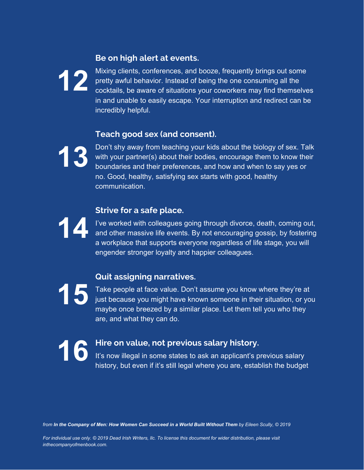#### **Be on high alert at events.**



Mixing clients, conferences, and booze, frequently brings out some pretty awful behavior. Instead of being the one consuming all the cocktails, be aware of situations your coworkers may find themselves in and unable to easily escape. Your interruption and redirect can be incredibly helpful.

### **Teach good sex (and consent).**

**13**

Don't shy away from teaching your kids about the biology of sex. Talk with your partner(s) about their bodies, encourage them to know their boundaries and their preferences, and how and when to say yes or no. Good, healthy, satisfying sex starts with good, healthy communication.

## **14**

#### **Strive for a safe place.**

I've worked with colleagues going through divorce, death, coming out, and other massive life events. By not encouraging gossip, by fostering a workplace that supports everyone regardless of life stage, you will engender stronger loyalty and happier colleagues.

## **Quit assigning narratives.**

**15** Take people at face value. Don't assume you know where they're at just because you might have known someone in their situation, or you maybe once breezed by a similar place. Let them tell you who they are, and what they can do.

**16 Hire on value, not previous salary history.** It's now illegal in some states to ask an applicant's previous salary history, but even if it's still legal where you are, establish the budget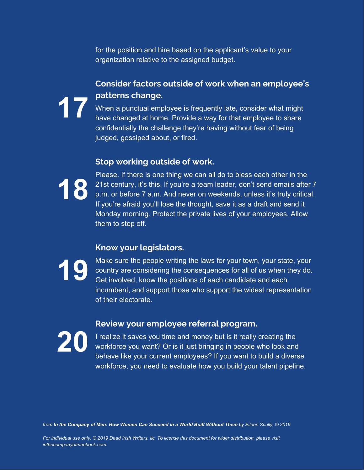for the position and hire based on the applicant's value to your organization relative to the assigned budget.

## **Consider factors outside of work when an employee's**

**17 patterns change.**<br>When a punctual emphave changed at hom When a punctual employee is frequently late, consider what might have changed at home. Provide a way for that employee to share confidentially the challenge they're having without fear of being judged, gossiped about, or fired.

#### **Stop working outside of work.**



Please. If there is one thing we can all do to bless each other in the 21st century, it's this. If you're a team leader, don't send emails after 7 p.m. or before 7 a.m. And never on weekends, unless it's truly critical. If you're afraid you'll lose the thought, save it as a draft and send it Monday morning. Protect the private lives of your employees. Allow them to step off.

#### **Know your legislators.**



Make sure the people writing the laws for your town, your state, your country are considering the consequences for all of us when they do. Get involved, know the positions of each candidate and each incumbent, and support those who support the widest representation of their electorate.

#### **Review your employee referral program.**



I realize it saves you time and money but is it really creating the workforce you want? Or is it just bringing in people who look and behave like your current employees? If you want to build a diverse workforce, you need to evaluate how you build your talent pipeline.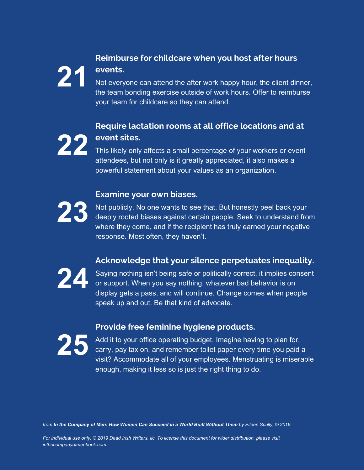## **Reimburse for childcare when you host after hours events.**

Not everyone can attend the after work happy hour, the client dinner, the team bonding exercise outside of work hours. Offer to reimburse your team for childcare so they can attend.

## **22 Require lactation rooms at all office locations and at event sites.**

This likely only affects a small percentage of your workers or event attendees, but not only is it greatly appreciated, it also makes a powerful statement about your values as an organization.

#### **Examine your own biases.**

**23**

Not publicly. No one wants to see that. But honestly peel back your deeply rooted biases against certain people. Seek to understand from where they come, and if the recipient has truly earned your negative response. Most often, they haven't.

## **Acknowledge that your silence perpetuates inequality.**



Saying nothing isn't being safe or politically correct, it implies consent or support. When you say nothing, whatever bad behavior is on display gets a pass, and will continue. Change comes when people speak up and out. Be that kind of advocate.

#### **Provide free feminine hygiene products.**



Add it to your office operating budget. Imagine having to plan for, carry, pay tax on, and remember toilet paper every time you paid a visit? Accommodate all of your employees. Menstruating is miserable enough, making it less so is just the right thing to do.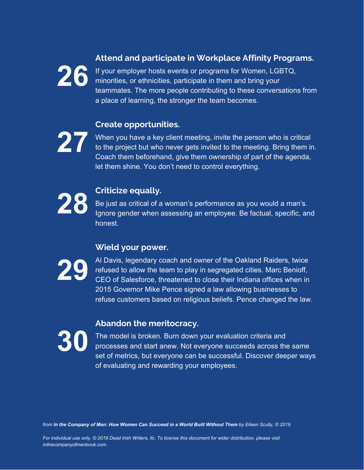### **Attend and participate in Workplace Affinity Programs.**

If your employer hosts events or programs for Women, LGBTQ, minorities, or ethnicities, participate in them and bring your teammates. The more people contributing to these conversations from a place of learning, the stronger the team becomes.

## **Create opportunities.**



When you have a key client meeting, invite the person who is critical to the project but who never gets invited to the meeting. Bring them in. Coach them beforehand, give them ownership of part of the agenda, let them shine. You don't need to control everything.



**28 Criticize equally.**<br>Be just as critical of a lgnore gender when a Be just as critical of a woman's performance as you would a man's. Ignore gender when assessing an employee. Be factual, specific, and honest.

## **Wield your power.**



Al Davis, legendary coach and owner of the Oakland Raiders, twice refused to allow the team to play in segregated cities. Marc Benioff, CEO of Salesforce, threatened to close their Indiana offices when in 2015 Governor Mike Pence signed a law allowing businesses to refuse customers based on religious beliefs. Pence changed the law.

#### **Abandon the meritocracy.**



The model is broken. Burn down your evaluation criteria and processes and start anew. Not everyone succeeds across the same set of metrics, but everyone can be successful. Discover deeper ways of evaluating and rewarding your employees.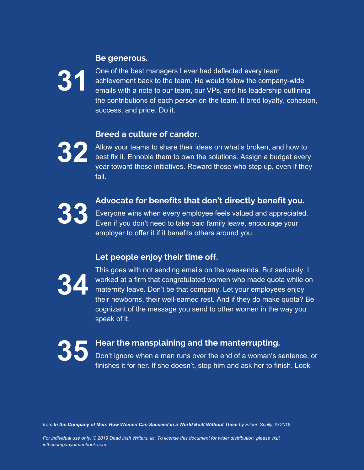#### **Be generous.**



One of the best managers I ever had deflected every team achievement back to the team. He would follow the company-wide emails with a note to our team, our VPs, and his leadership outlining the contributions of each person on the team. It bred loyalty, cohesion, success, and pride. Do it.

#### **Breed a culture of candor.**



Allow your teams to share their ideas on what's broken, and how to best fix it. Ennoble them to own the solutions. Assign a budget every year toward these initiatives. Reward those who step up, even if they fail.



#### **33 Advocate for benefits that don't directly benefit you.**

Everyone wins when every employee feels valued and appreciated. Even if you don't need to take paid family leave, encourage your employer to offer it if it benefits others around you.

#### **Let people enjoy their time off.**



This goes with not sending emails on the weekends. But seriously, I worked at a firm that congratulated women who made quota while on maternity leave. Don't be that company. Let your employees enjoy their newborns, their well-earned rest. And if they do make quota? Be cognizant of the message you send to other women in the way you speak of it.



#### **35 Hear the mansplaining and the manterrupting.**

Don't ignore when a man runs over the end of a woman's sentence, or finishes it for her. If she doesn't, stop him and ask her to finish. Look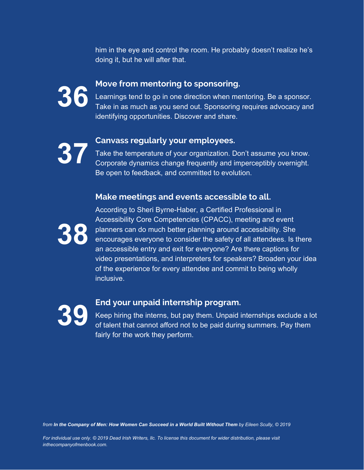him in the eye and control the room. He probably doesn't realize he's doing it, but he will after that.



**36** Learnings tend to go in one direction when me<br>Take in as much as you send out. Sponsoring Learnings tend to go in one direction when mentoring. Be a sponsor. Take in as much as you send out. Sponsoring requires advocacy and identifying opportunities. Discover and share.

**37 Canvass regularly your employees.**<br>Take the temperature of your organization. D Take the temperature of your organization. Don't assume you know. Corporate dynamics change frequently and imperceptibly overnight. Be open to feedback, and committed to evolution.

#### **Make meetings and events accessible to all.**



According to Sheri Byrne-Haber, a Certified Professional in Accessibility Core Competencies (CPACC), meeting and event planners can do much better planning around accessibility. She encourages everyone to consider the safety of all attendees. Is there an accessible entry and exit for everyone? Are there captions for video presentations, and interpreters for speakers? Broaden your idea of the experience for every attendee and commit to being wholly inclusive.

#### **39 End your unpaid internship program.**

Keep hiring the interns, but pay them. Unpaid internships exclude a lot of talent that cannot afford not to be paid during summers. Pay them fairly for the work they perform.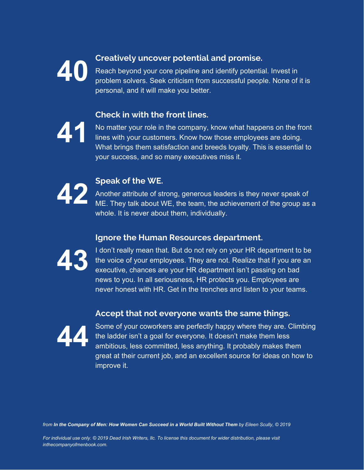

**400 Creatively uncover potential and promise.<br>Reach beyond your core pipeline and identify potential<br>problem solvers. Seek criticism from successful peop** Reach beyond your core pipeline and identify potential. Invest in problem solvers. Seek criticism from successful people. None of it is personal, and it will make you better.

## **Check in with the front lines.**



No matter your role in the company, know what happens on the front lines with your customers. Know how those employees are doing. What brings them satisfaction and breeds loyalty. This is essential to your success, and so many executives miss it.



**422 Another attribute of st**<br>ME. They talk about V Another attribute of strong, generous leaders is they never speak of ME. They talk about WE, the team, the achievement of the group as a whole. It is never about them, individually.

### **Ignore the Human Resources department.**



I don't really mean that. But do not rely on your HR department to be the voice of your employees. They are not. Realize that if you are an executive, chances are your HR department isn't passing on bad news to you. In all seriousness, HR protects you. Employees are never honest with HR. Get in the trenches and listen to your teams.

#### **Accept that not everyone wants the same things.**



Some of your coworkers are perfectly happy where they are. Climbing the ladder isn't a goal for everyone. It doesn't make them less ambitious, less committed, less anything. It probably makes them great at their current job, and an excellent source for ideas on how to improve it.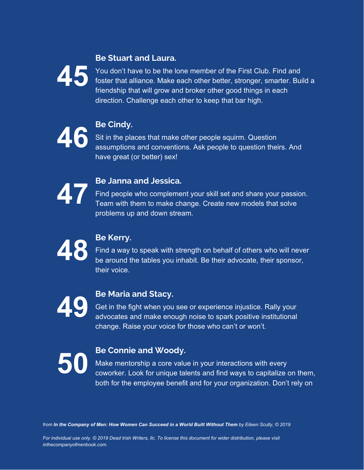#### **Be Stuart and Laura.**



You don't have to be the lone member of the First Club. Find and foster that alliance. Make each other better, stronger, smarter. Build a friendship that will grow and broker other good things in each direction. Challenge each other to keep that bar high.



Sit in the places that make other people squirm. Question assumptions and conventions. Ask people to question theirs. And have great (or better) sex!



**47 Be Janna and Jessica.**<br>
Find people who compleme<br>
Team with them to make ch Find people who complement your skill set and share your passion. Team with them to make change. Create new models that solve problems up and down stream.



Find a way to speak with strength on behalf of others who will never be around the tables you inhabit. Be their advocate, their sponsor, their voice.



**19 Be Maria and Stacy.**<br>Get in the fight when you<br>advocates and make enc Get in the fight when you see or experience injustice. Rally your advocates and make enough noise to spark positive institutional change. Raise your voice for those who can't or won't.



**50 Be Connie and Woody.**<br>Make mentorship a core valu coworker. Look for unique tal Make mentorship a core value in your interactions with every coworker. Look for unique talents and find ways to capitalize on them, both for the employee benefit and for your organization. Don't rely on